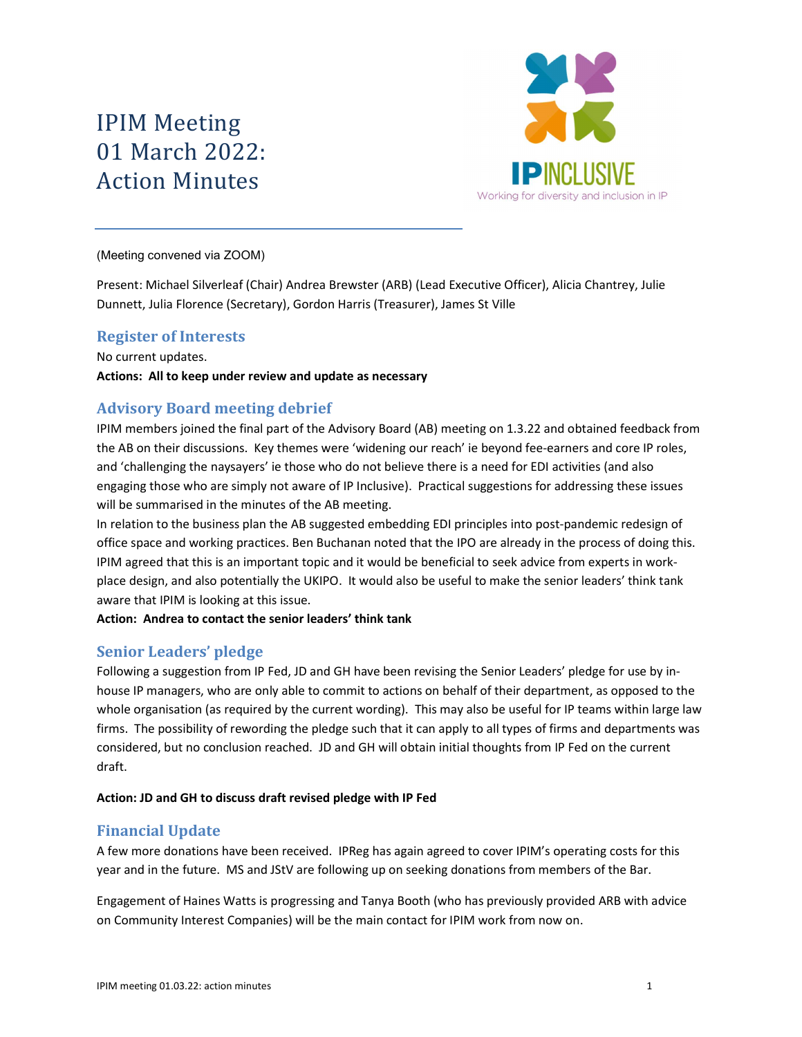# IPIM Meeting 01 March 2022: Action Minutes



(Meeting convened via ZOOM)

Present: Michael Silverleaf (Chair) Andrea Brewster (ARB) (Lead Executive Officer), Alicia Chantrey, Julie Dunnett, Julia Florence (Secretary), Gordon Harris (Treasurer), James St Ville

# Register of Interests

No current updates. Actions: All to keep under review and update as necessary

# Advisory Board meeting debrief

IPIM members joined the final part of the Advisory Board (AB) meeting on 1.3.22 and obtained feedback from the AB on their discussions. Key themes were 'widening our reach' ie beyond fee-earners and core IP roles, and 'challenging the naysayers' ie those who do not believe there is a need for EDI activities (and also engaging those who are simply not aware of IP Inclusive). Practical suggestions for addressing these issues will be summarised in the minutes of the AB meeting.

In relation to the business plan the AB suggested embedding EDI principles into post-pandemic redesign of office space and working practices. Ben Buchanan noted that the IPO are already in the process of doing this. IPIM agreed that this is an important topic and it would be beneficial to seek advice from experts in workplace design, and also potentially the UKIPO. It would also be useful to make the senior leaders' think tank aware that IPIM is looking at this issue.

#### Action: Andrea to contact the senior leaders' think tank

# Senior Leaders' pledge

Following a suggestion from IP Fed, JD and GH have been revising the Senior Leaders' pledge for use by inhouse IP managers, who are only able to commit to actions on behalf of their department, as opposed to the whole organisation (as required by the current wording). This may also be useful for IP teams within large law firms. The possibility of rewording the pledge such that it can apply to all types of firms and departments was considered, but no conclusion reached. JD and GH will obtain initial thoughts from IP Fed on the current draft.

#### Action: JD and GH to discuss draft revised pledge with IP Fed

# Financial Update

A few more donations have been received. IPReg has again agreed to cover IPIM's operating costs for this year and in the future. MS and JStV are following up on seeking donations from members of the Bar.

Engagement of Haines Watts is progressing and Tanya Booth (who has previously provided ARB with advice on Community Interest Companies) will be the main contact for IPIM work from now on.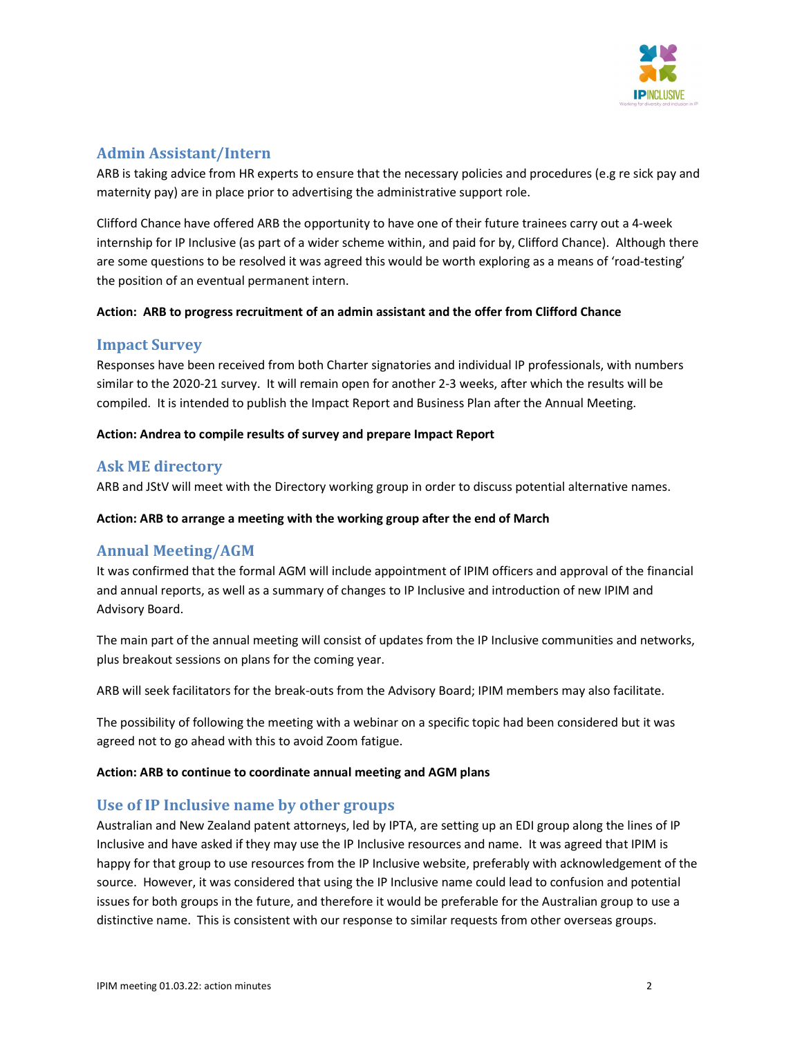

# Admin Assistant/Intern

ARB is taking advice from HR experts to ensure that the necessary policies and procedures (e.g re sick pay and maternity pay) are in place prior to advertising the administrative support role.

Clifford Chance have offered ARB the opportunity to have one of their future trainees carry out a 4-week internship for IP Inclusive (as part of a wider scheme within, and paid for by, Clifford Chance). Although there are some questions to be resolved it was agreed this would be worth exploring as a means of 'road-testing' the position of an eventual permanent intern.

#### Action: ARB to progress recruitment of an admin assistant and the offer from Clifford Chance

#### Impact Survey

Responses have been received from both Charter signatories and individual IP professionals, with numbers similar to the 2020-21 survey. It will remain open for another 2-3 weeks, after which the results will be compiled. It is intended to publish the Impact Report and Business Plan after the Annual Meeting.

#### Action: Andrea to compile results of survey and prepare Impact Report

# Ask ME directory

ARB and JStV will meet with the Directory working group in order to discuss potential alternative names.

#### Action: ARB to arrange a meeting with the working group after the end of March

# Annual Meeting/AGM

It was confirmed that the formal AGM will include appointment of IPIM officers and approval of the financial and annual reports, as well as a summary of changes to IP Inclusive and introduction of new IPIM and Advisory Board.

The main part of the annual meeting will consist of updates from the IP Inclusive communities and networks, plus breakout sessions on plans for the coming year.

ARB will seek facilitators for the break-outs from the Advisory Board; IPIM members may also facilitate.

The possibility of following the meeting with a webinar on a specific topic had been considered but it was agreed not to go ahead with this to avoid Zoom fatigue.

#### Action: ARB to continue to coordinate annual meeting and AGM plans

# Use of IP Inclusive name by other groups

Australian and New Zealand patent attorneys, led by IPTA, are setting up an EDI group along the lines of IP Inclusive and have asked if they may use the IP Inclusive resources and name. It was agreed that IPIM is happy for that group to use resources from the IP Inclusive website, preferably with acknowledgement of the source. However, it was considered that using the IP Inclusive name could lead to confusion and potential issues for both groups in the future, and therefore it would be preferable for the Australian group to use a distinctive name. This is consistent with our response to similar requests from other overseas groups.